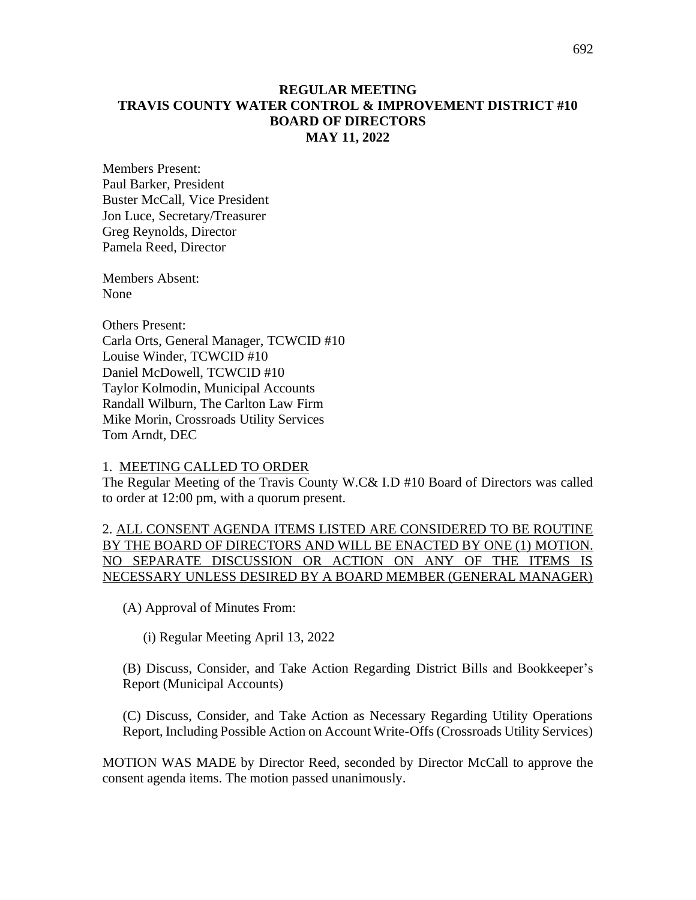#### **REGULAR MEETING TRAVIS COUNTY WATER CONTROL & IMPROVEMENT DISTRICT #10 BOARD OF DIRECTORS MAY 11, 2022**

Members Present: Paul Barker, President Buster McCall, Vice President Jon Luce, Secretary/Treasurer Greg Reynolds, Director Pamela Reed, Director

Members Absent: None

Others Present: Carla Orts, General Manager, TCWCID #10 Louise Winder, TCWCID #10 Daniel McDowell, TCWCID #10 Taylor Kolmodin, Municipal Accounts Randall Wilburn, The Carlton Law Firm Mike Morin, Crossroads Utility Services Tom Arndt, DEC

#### 1. MEETING CALLED TO ORDER

The Regular Meeting of the Travis County W.C& I.D #10 Board of Directors was called to order at 12:00 pm, with a quorum present.

2. ALL CONSENT AGENDA ITEMS LISTED ARE CONSIDERED TO BE ROUTINE BY THE BOARD OF DIRECTORS AND WILL BE ENACTED BY ONE (1) MOTION. NO SEPARATE DISCUSSION OR ACTION ON ANY OF THE ITEMS IS NECESSARY UNLESS DESIRED BY A BOARD MEMBER (GENERAL MANAGER)

(A) Approval of Minutes From:

(i) Regular Meeting April 13, 2022

(B) Discuss, Consider, and Take Action Regarding District Bills and Bookkeeper's Report (Municipal Accounts)

(C) Discuss, Consider, and Take Action as Necessary Regarding Utility Operations Report, Including Possible Action on Account Write-Offs (Crossroads Utility Services)

MOTION WAS MADE by Director Reed, seconded by Director McCall to approve the consent agenda items. The motion passed unanimously.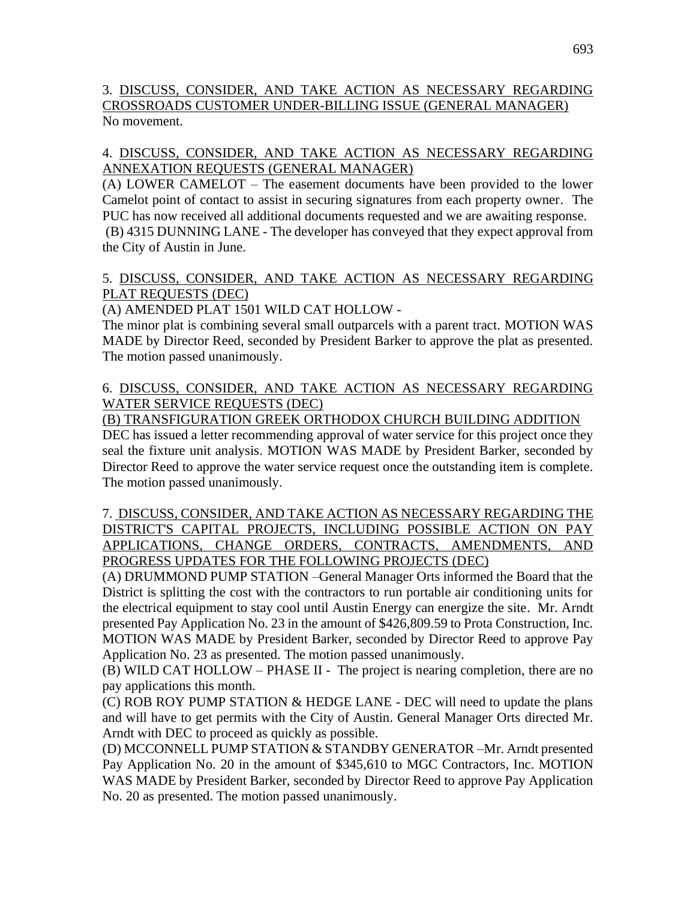# 3. DISCUSS, CONSIDER, AND TAKE ACTION AS NECESSARY REGARDING CROSSROADS CUSTOMER UNDER-BILLING ISSUE (GENERAL MANAGER) No movement.

# 4. DISCUSS, CONSIDER, AND TAKE ACTION AS NECESSARY REGARDING ANNEXATION REQUESTS (GENERAL MANAGER)

(A) LOWER CAMELOT – The easement documents have been provided to the lower Camelot point of contact to assist in securing signatures from each property owner. The PUC has now received all additional documents requested and we are awaiting response.

(B) 4315 DUNNING LANE - The developer has conveyed that they expect approval from the City of Austin in June.

# 5. DISCUSS, CONSIDER, AND TAKE ACTION AS NECESSARY REGARDING PLAT REQUESTS (DEC)

(A) AMENDED PLAT 1501 WILD CAT HOLLOW -

The minor plat is combining several small outparcels with a parent tract. MOTION WAS MADE by Director Reed, seconded by President Barker to approve the plat as presented. The motion passed unanimously.

# 6. DISCUSS, CONSIDER, AND TAKE ACTION AS NECESSARY REGARDING WATER SERVICE REQUESTS (DEC)

(B) TRANSFIGURATION GREEK ORTHODOX CHURCH BUILDING ADDITION

DEC has issued a letter recommending approval of water service for this project once they seal the fixture unit analysis. MOTION WAS MADE by President Barker, seconded by Director Reed to approve the water service request once the outstanding item is complete. The motion passed unanimously.

### 7. DISCUSS, CONSIDER, AND TAKE ACTION AS NECESSARY REGARDING THE DISTRICT'S CAPITAL PROJECTS, INCLUDING POSSIBLE ACTION ON PAY APPLICATIONS, CHANGE ORDERS, CONTRACTS, AMENDMENTS, AND PROGRESS UPDATES FOR THE FOLLOWING PROJECTS (DEC)

(A) DRUMMOND PUMP STATION –General Manager Orts informed the Board that the District is splitting the cost with the contractors to run portable air conditioning units for the electrical equipment to stay cool until Austin Energy can energize the site. Mr. Arndt presented Pay Application No. 23 in the amount of \$426,809.59 to Prota Construction, Inc. MOTION WAS MADE by President Barker, seconded by Director Reed to approve Pay Application No. 23 as presented. The motion passed unanimously.

(B) WILD CAT HOLLOW – PHASE II - The project is nearing completion, there are no pay applications this month.

(C) ROB ROY PUMP STATION & HEDGE LANE - DEC will need to update the plans and will have to get permits with the City of Austin. General Manager Orts directed Mr. Arndt with DEC to proceed as quickly as possible.

(D) MCCONNELL PUMP STATION & STANDBY GENERATOR –Mr. Arndt presented Pay Application No. 20 in the amount of \$345,610 to MGC Contractors, Inc. MOTION WAS MADE by President Barker, seconded by Director Reed to approve Pay Application No. 20 as presented. The motion passed unanimously.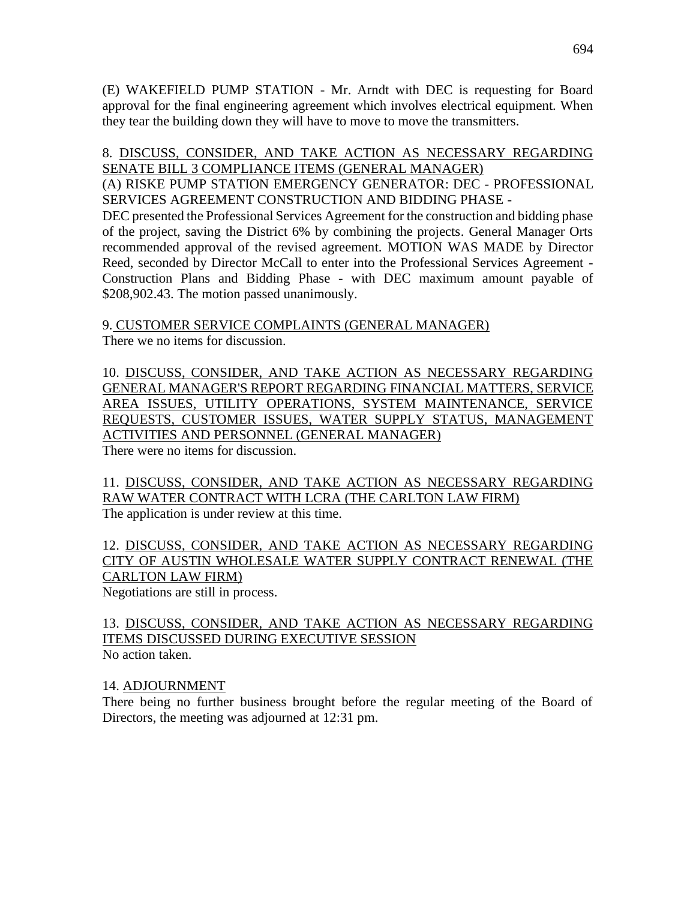(E) WAKEFIELD PUMP STATION - Mr. Arndt with DEC is requesting for Board approval for the final engineering agreement which involves electrical equipment. When they tear the building down they will have to move to move the transmitters.

### 8. DISCUSS, CONSIDER, AND TAKE ACTION AS NECESSARY REGARDING SENATE BILL 3 COMPLIANCE ITEMS (GENERAL MANAGER)

(A) RISKE PUMP STATION EMERGENCY GENERATOR: DEC - PROFESSIONAL SERVICES AGREEMENT CONSTRUCTION AND BIDDING PHASE -

DEC presented the Professional Services Agreement for the construction and bidding phase of the project, saving the District 6% by combining the projects. General Manager Orts recommended approval of the revised agreement. MOTION WAS MADE by Director Reed, seconded by Director McCall to enter into the Professional Services Agreement - Construction Plans and Bidding Phase - with DEC maximum amount payable of \$208,902.43. The motion passed unanimously.

9. CUSTOMER SERVICE COMPLAINTS (GENERAL MANAGER) There we no items for discussion.

10. DISCUSS, CONSIDER, AND TAKE ACTION AS NECESSARY REGARDING GENERAL MANAGER'S REPORT REGARDING FINANCIAL MATTERS, SERVICE AREA ISSUES, UTILITY OPERATIONS, SYSTEM MAINTENANCE, SERVICE REQUESTS, CUSTOMER ISSUES, WATER SUPPLY STATUS, MANAGEMENT ACTIVITIES AND PERSONNEL (GENERAL MANAGER) There were no items for discussion.

11. DISCUSS, CONSIDER, AND TAKE ACTION AS NECESSARY REGARDING RAW WATER CONTRACT WITH LCRA (THE CARLTON LAW FIRM) The application is under review at this time.

12. DISCUSS, CONSIDER, AND TAKE ACTION AS NECESSARY REGARDING CITY OF AUSTIN WHOLESALE WATER SUPPLY CONTRACT RENEWAL (THE CARLTON LAW FIRM) Negotiations are still in process.

## 13. DISCUSS, CONSIDER, AND TAKE ACTION AS NECESSARY REGARDING ITEMS DISCUSSED DURING EXECUTIVE SESSION No action taken.

# 14. ADJOURNMENT

There being no further business brought before the regular meeting of the Board of Directors, the meeting was adjourned at 12:31 pm.